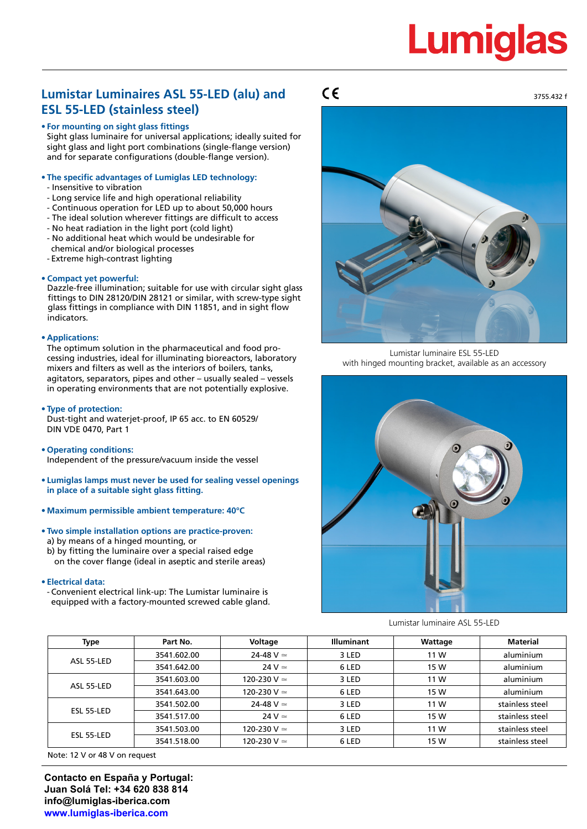# **Lumigla**

# **Lumistar Luminaires ASL 55-LED (alu) and ESL 55-LED (stainless steel)**

### **• For mounting on sight glass fittings**

Sight glass luminaire for universal applications; ideally suited for sight glass and light port combinations (single-flange version) and for separate configurations (double-flange version).

## **• The specific advantages of Lumiglas LED technology:**

- Insensitive to vibration
- Long service life and high operational reliability
- Continuous operation for LED up to about 50,000 hours
- The ideal solution wherever fittings are difficult to access
- No heat radiation in the light port (cold light)
- No additional heat which would be undesirable for chemical and/or biological processes
- Extreme high-contrast lighting

#### **• Compact yet powerful:**

Dazzle-free illumination; suitable for use with circular sight glass fittings to DIN 28120/DIN 28121 or similar, with screw-type sight glass fittings in compliance with DIN 11851, and in sight flow indicators.

#### **• Applications:**

The optimum solution in the pharmaceutical and food processing industries, ideal for illuminating bioreactors, laboratory mixers and filters as well as the interiors of boilers, tanks, agitators, separators, pipes and other – usually sealed – vessels in operating environments that are not potentially explosive.

#### **• Type of protection:**

Dust-tight and waterjet-proof, IP 65 acc. to EN 60529/ DIN VDE 0470, Part 1

- **• Operating conditions:** Independent of the pressure/vacuum inside the vessel
- **• Lumiglas lamps must never be used for sealing vessel openings in place of a suitable sight glass fitting.**
- **• Maximum permissible ambient temperature: 40°C**
- **• Two simple installation options are practice-proven:** a) by means of a hinged mounting, or
- b) by fitting the luminaire over a special raised edge on the cover flange (ideal in aseptic and sterile areas)

#### **• Electrical data:**

- Convenient electrical link-up: The Lumistar luminaire is equipped with a factory-mounted screwed cable gland.

## $C\epsilon$



Lumistar luminaire ESL 55-LED with hinged mounting bracket, available as an accessory



Lumistar luminaire ASL 55-LED

| Type       | Part No.    | Voltage            | <b>Illuminant</b> | Wattage | <b>Material</b> |
|------------|-------------|--------------------|-------------------|---------|-----------------|
| ASL 55-LED | 3541.602.00 | 24-48 V $\simeq$   | 3 LED             | 11 W    | aluminium       |
|            | 3541.642.00 | $24 V \approx$     | 6 LED             | 15 W    | aluminium       |
| ASL 55-LED | 3541.603.00 | 120-230 V $\simeq$ | 3 LED             | 11 W    | aluminium       |
|            | 3541.643.00 | 120-230 V $\simeq$ | 6 LED             | 15 W    | aluminium       |
| ESL 55-LED | 3541.502.00 | 24-48 V $\simeq$   | 3 LED             | 11 W    | stainless steel |
|            | 3541.517.00 | $24 V \approx$     | 6 LED             | 15 W    | stainless steel |
| ESL 55-LED | 3541.503.00 | 120-230 V $\simeq$ | 3 LED             | 11 W    | stainless steel |
|            | 3541.518.00 | 120-230 V $\simeq$ | 6 LED             | 15 W    | stainless steel |

Note: 12 V or 48 V on request

**Contacto en España y Portugal: Juan Solá Tel: +34 620 838 814 [info@lumiglas-iberica.com](mailto:info@lumiglas-iberica.com) [www.lumiglas-iberica.com](http://www.lumiglas-iberica.com)**